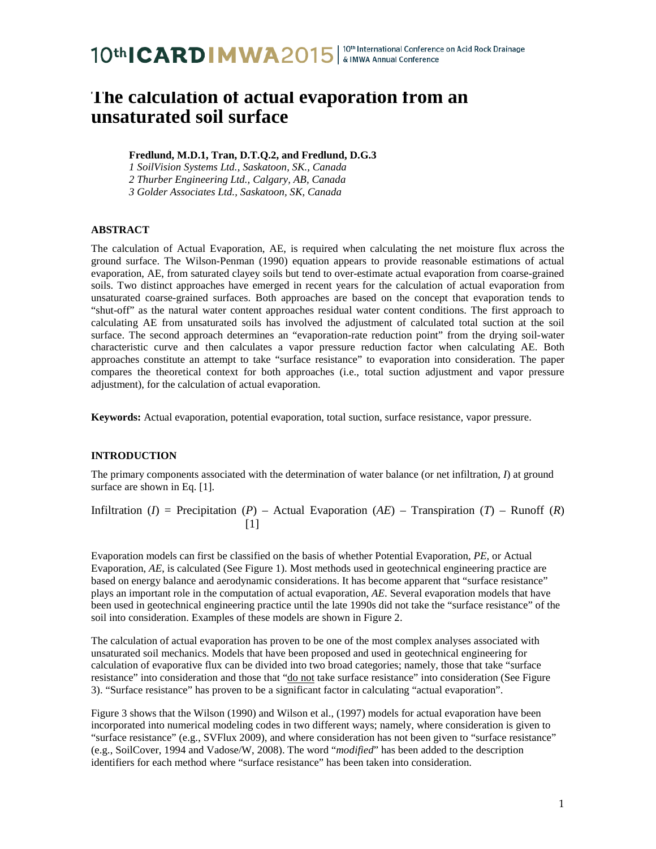## **The calculation of actual evaporation from an unsaturated soil surface**

**Fredlund, M.D.1, Tran, D.T.Q.2, and Fredlund, D.G.3**

*1 SoilVision Systems Ltd., Saskatoon, SK., Canada*

*2 Thurber Engineering Ltd., Calgary, AB, Canada*

*3 Golder Associates Ltd., Saskatoon, SK, Canada*

### **ABSTRACT**

The calculation of Actual Evaporation, AE, is required when calculating the net moisture flux across the ground surface. The Wilson-Penman (1990) equation appears to provide reasonable estimations of actual evaporation, AE, from saturated clayey soils but tend to over-estimate actual evaporation from coarse-grained soils. Two distinct approaches have emerged in recent years for the calculation of actual evaporation from unsaturated coarse-grained surfaces. Both approaches are based on the concept that evaporation tends to "shut-off" as the natural water content approaches residual water content conditions. The first approach to calculating AE from unsaturated soils has involved the adjustment of calculated total suction at the soil surface. The second approach determines an "evaporation-rate reduction point" from the drying soil-water characteristic curve and then calculates a vapor pressure reduction factor when calculating AE. Both approaches constitute an attempt to take "surface resistance" to evaporation into consideration. The paper compares the theoretical context for both approaches (i.e., total suction adjustment and vapor pressure adjustment), for the calculation of actual evaporation.

**Keywords:** Actual evaporation, potential evaporation, total suction, surface resistance, vapor pressure.

#### **INTRODUCTION**

The primary components associated with the determination of water balance (or net infiltration, *I*) at ground surface are shown in Eq. [1].

Infiltration (*I*) = Precipitation (*P*) – Actual Evaporation (*AE*) – Transpiration (*T*) – Runoff (*R*)  $[1]$ 

Evaporation models can first be classified on the basis of whether Potential Evaporation, *PE*, or Actual Evaporation, *AE*, is calculated (See Figure 1). Most methods used in geotechnical engineering practice are based on energy balance and aerodynamic considerations. It has become apparent that "surface resistance" plays an important role in the computation of actual evaporation, *AE*. Several evaporation models that have been used in geotechnical engineering practice until the late 1990s did not take the "surface resistance" of the soil into consideration. Examples of these models are shown in Figure 2.

The calculation of actual evaporation has proven to be one of the most complex analyses associated with unsaturated soil mechanics. Models that have been proposed and used in geotechnical engineering for calculation of evaporative flux can be divided into two broad categories; namely, those that take "surface resistance" into consideration and those that "do not take surface resistance" into consideration (See Figure 3). "Surface resistance" has proven to be a significant factor in calculating "actual evaporation".

Figure 3 shows that the Wilson (1990) and Wilson et al., (1997) models for actual evaporation have been incorporated into numerical modeling codes in two different ways; namely, where consideration is given to "surface resistance" (e.g., SVFlux 2009), and where consideration has not been given to "surface resistance" (e.g., SoilCover, 1994 and Vadose/W, 2008). The word "*modified*" has been added to the description identifiers for each method where "surface resistance" has been taken into consideration.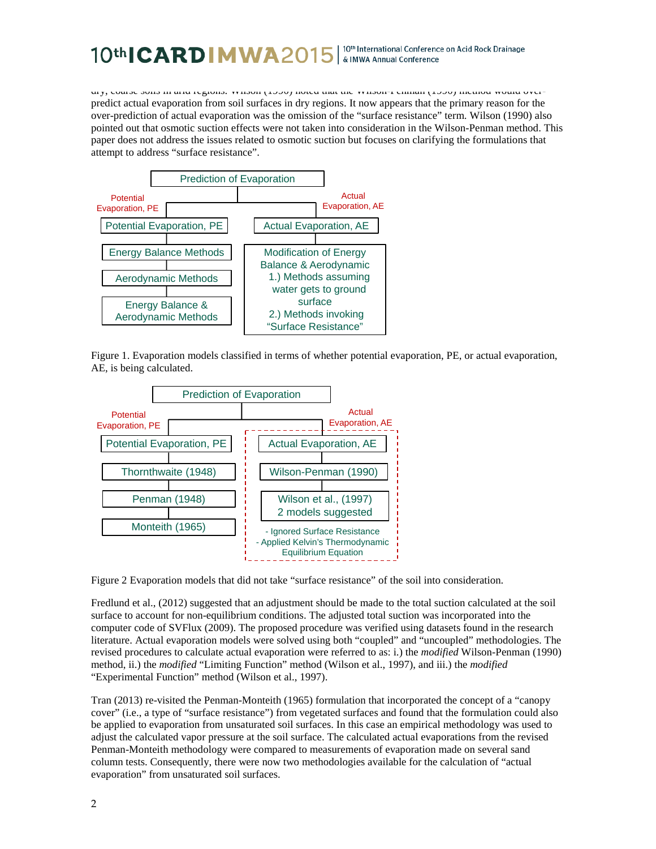#### | 10th International Conference on Acid Rock Drainage 10th**ICARDIMWA**2015 & IMWA Annual Conference

dry, coarse soils in arid regions. Wilson (1990) noted that the Wilson-Penman (1990) method would overpredict actual evaporation from soil surfaces in dry regions. It now appears that the primary reason for the over-prediction of actual evaporation was the omission of the "surface resistance" term. Wilson (1990) also pointed out that osmotic suction effects were not taken into consideration in the Wilson-Penman method. This paper does not address the issues related to osmotic suction but focuses on clarifying the formulations that attempt to address "surface resistance".



Figure 1. Evaporation models classified in terms of whether potential evaporation, PE, or actual evaporation, AE, is being calculated.



Figure 2 Evaporation models that did not take "surface resistance" of the soil into consideration.

Fredlund et al., (2012) suggested that an adjustment should be made to the total suction calculated at the soil surface to account for non-equilibrium conditions. The adjusted total suction was incorporated into the computer code of SVFlux (2009). The proposed procedure was verified using datasets found in the research literature. Actual evaporation models were solved using both "coupled" and "uncoupled" methodologies. The revised procedures to calculate actual evaporation were referred to as: i.) the *modified* Wilson-Penman (1990) method, ii.) the *modified* "Limiting Function" method (Wilson et al., 1997), and iii.) the *modified*  "Experimental Function" method (Wilson et al., 1997).

Tran (2013) re-visited the Penman-Monteith (1965) formulation that incorporated the concept of a "canopy cover" (i.e., a type of "surface resistance") from vegetated surfaces and found that the formulation could also be applied to evaporation from unsaturated soil surfaces. In this case an empirical methodology was used to adjust the calculated vapor pressure at the soil surface. The calculated actual evaporations from the revised Penman-Monteith methodology were compared to measurements of evaporation made on several sand column tests. Consequently, there were now two methodologies available for the calculation of "actual evaporation" from unsaturated soil surfaces.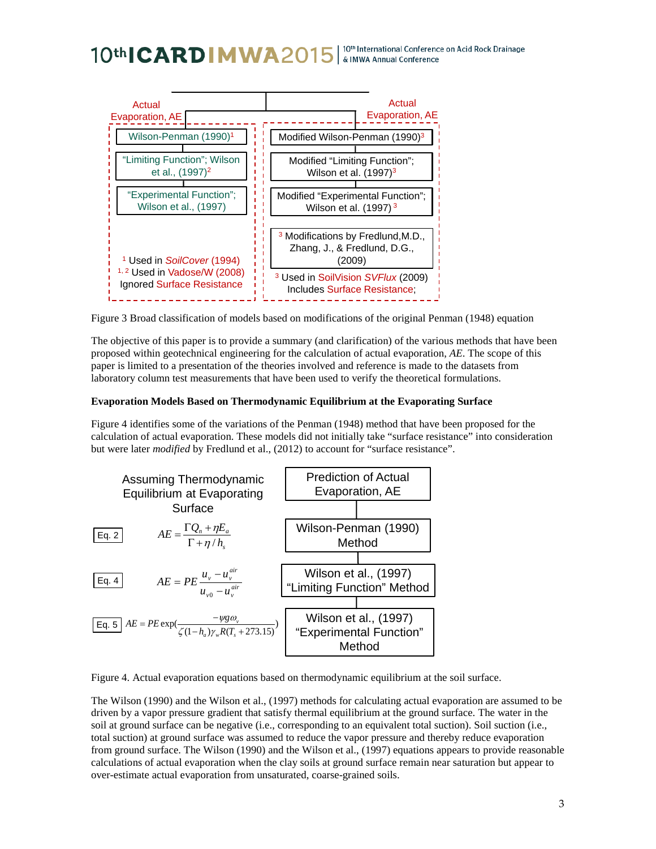## | 10<sup>th</sup> International Conference on Acid Rock Drainage<br>| & IMWA Annual Conference 10th**ICARDIMWA**2015



Figure 3 Broad classification of models based on modifications of the original Penman (1948) equation

The objective of this paper is to provide a summary (and clarification) of the various methods that have been proposed within geotechnical engineering for the calculation of actual evaporation, *AE*. The scope of this paper is limited to a presentation of the theories involved and reference is made to the datasets from laboratory column test measurements that have been used to verify the theoretical formulations.

#### **Evaporation Models Based on Thermodynamic Equilibrium at the Evaporating Surface**

Figure 4 identifies some of the variations of the Penman (1948) method that have been proposed for the calculation of actual evaporation. These models did not initially take "surface resistance" into consideration but were later *modified* by Fredlund et al., (2012) to account for "surface resistance".



Figure 4. Actual evaporation equations based on thermodynamic equilibrium at the soil surface.

The Wilson (1990) and the Wilson et al., (1997) methods for calculating actual evaporation are assumed to be driven by a vapor pressure gradient that satisfy thermal equilibrium at the ground surface. The water in the soil at ground surface can be negative (i.e., corresponding to an equivalent total suction). Soil suction (i.e., total suction) at ground surface was assumed to reduce the vapor pressure and thereby reduce evaporation from ground surface. The Wilson (1990) and the Wilson et al., (1997) equations appears to provide reasonable calculations of actual evaporation when the clay soils at ground surface remain near saturation but appear to over-estimate actual evaporation from unsaturated, coarse-grained soils.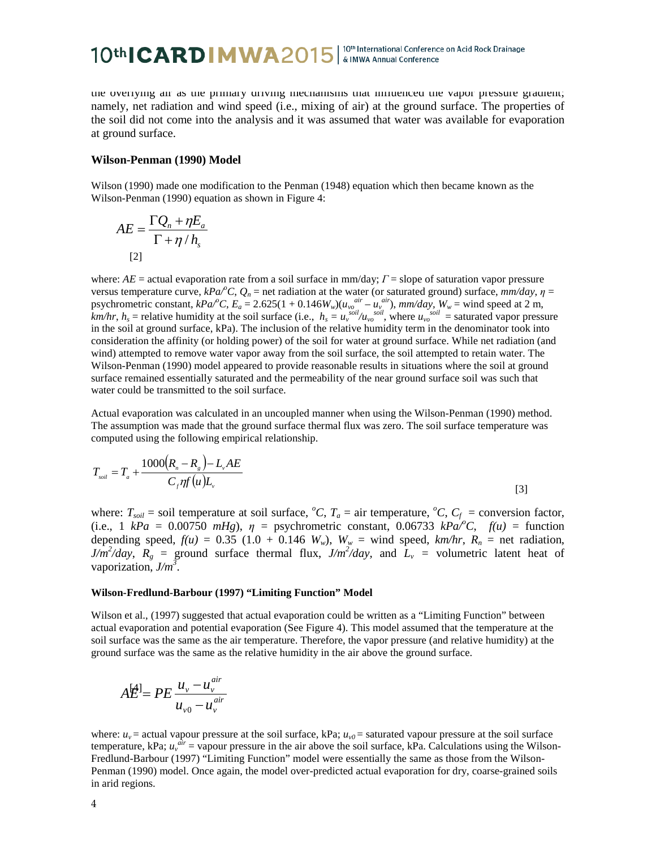# 10th CARD MWA2015 | 10th International Conference on Acid Rock Drainage

the overlying air as the primary driving mechanisms that influenced the vapor pressure gradient; namely, net radiation and wind speed (i.e., mixing of air) at the ground surface. The properties of the soil did not come into the analysis and it was assumed that water was available for evaporation at ground surface.

#### **Wilson-Penman (1990) Model**

Wilson (1990) made one modification to the Penman (1948) equation which then became known as the Wilson-Penman (1990) equation as shown in Figure 4:

$$
AE = \frac{\Gamma Q_n + \eta E_a}{\Gamma + \eta / h_s}
$$
  
[2]

where: *AE* = actual evaporation rate from a soil surface in mm/day; *Γ* = slope of saturation vapor pressure versus temperature curve,  $kPa^{\circ}C$ ,  $Q_n$  = net radiation at the water (or saturated ground) surface,  $mm/day$ ,  $\eta$  = psychrometric constant,  $kPa^{\circ}C$ ,  $E_a = 2.625(1 + 0.146W_w)(u_v e^{air} - u_v e^{air})$ ,  $mm/day$ ,  $W_w$  = wind speed at 2 m, *km/hr*,  $h_s$  = relative humidity at the soil surface (i.e.,  $h_s = u_v^{soil}/u_{vo}^{soil}$ , where  $u_{vo}^{soil}$  = saturated vapor pressure in the soil at ground surface, kPa). The inclusion of the relative humidity term in the denominator took into consideration the affinity (or holding power) of the soil for water at ground surface. While net radiation (and wind) attempted to remove water vapor away from the soil surface, the soil attempted to retain water. The Wilson-Penman (1990) model appeared to provide reasonable results in situations where the soil at ground surface remained essentially saturated and the permeability of the near ground surface soil was such that water could be transmitted to the soil surface.

Actual evaporation was calculated in an uncoupled manner when using the Wilson-Penman (1990) method. The assumption was made that the ground surface thermal flux was zero. The soil surface temperature was computed using the following empirical relationship.

$$
T_{\text{soil}} = T_a + \frac{1000(R_n - R_s) - L_v AE}{C_f \eta f(u)L_v}
$$
\n
$$
\tag{3}
$$

where:  $T_{\text{solid}} =$  soil temperature at soil surface, <sup>*o*</sup>C,  $T_a =$  air temperature, <sup>*o*</sup>C,  $C_f =$  conversion factor, (i.e., 1  $kPa = 0.00750 mHg$ ),  $\eta$  = psychrometric constant, 0.06733  $kPa^{\prime}/^{\circ}C$ ,  $f(u)$  = function depending speed,  $f(u) = 0.35$  (1.0 + 0.146  $W_w$ ),  $W_w$  = wind speed,  $km/hr$ ,  $R_n$  = net radiation,  $J/m^2/day$ ,  $R_g$  = ground surface thermal flux,  $J/m^2/day$ , and  $L_v$  = volumetric latent heat of vaporization,  $J/m^3$ .

#### **Wilson-Fredlund-Barbour (1997) "Limiting Function" Model**

Wilson et al., (1997) suggested that actual evaporation could be written as a "Limiting Function" between actual evaporation and potential evaporation (See Figure 4). This model assumed that the temperature at the soil surface was the same as the air temperature. Therefore, the vapor pressure (and relative humidity) at the ground surface was the same as the relative humidity in the air above the ground surface.

$$
A\overleftrightarrow{\mathbf{E}}^{\mathbf{l}}=PE\frac{u_{v}-u_{v}^{air}}{u_{v0}-u_{v}^{air}}
$$

where:  $u_v$  = actual vapour pressure at the soil surface, kPa;  $u_{v0}$  = saturated vapour pressure at the soil surface temperature, kPa;  $u_v^{air}$  = vapour pressure in the air above the soil surface, kPa. Calculations using the Wilson-Fredlund-Barbour (1997) "Limiting Function" model were essentially the same as those from the Wilson-Penman (1990) model. Once again, the model over-predicted actual evaporation for dry, coarse-grained soils in arid regions.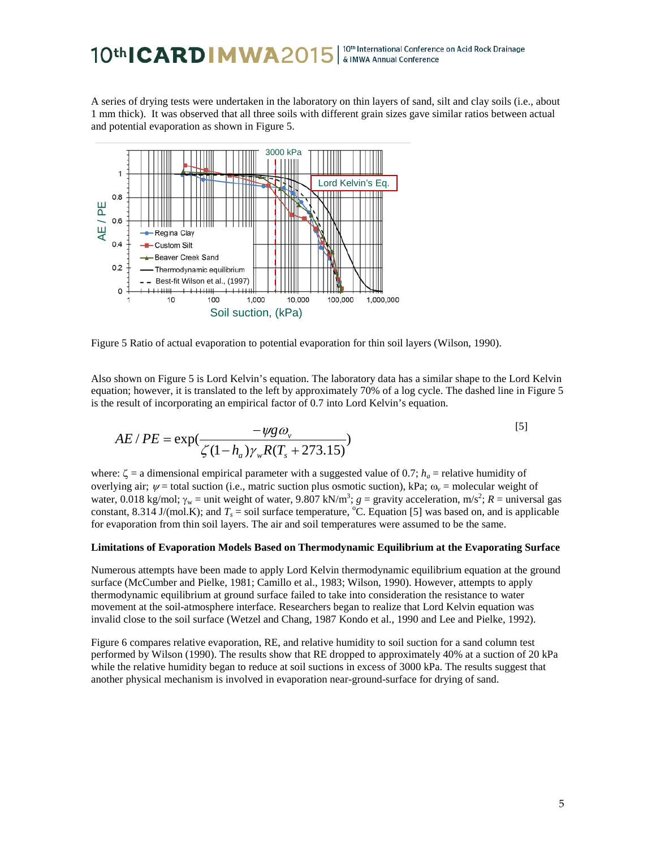#### 10<sup>th</sup> International Conference on Acid Rock Drainage 10th**ICARDIMWA**2015 & IMWA Annual Conference

A series of drying tests were undertaken in the laboratory on thin layers of sand, silt and clay soils (i.e., about 1 mm thick). It was observed that all three soils with different grain sizes gave similar ratios between actual and potential evaporation as shown in Figure 5.



Figure 5 Ratio of actual evaporation to potential evaporation for thin soil layers (Wilson, 1990).

Also shown on Figure 5 is Lord Kelvin's equation. The laboratory data has a similar shape to the Lord Kelvin equation; however, it is translated to the left by approximately 70% of a log cycle. The dashed line in Figure 5 is the result of incorporating an empirical factor of 0.7 into Lord Kelvin's equation.

$$
AE / PE = \exp(\frac{-\psi g \omega_v}{\zeta (1 - h_a) \gamma_w R (T_s + 273.15)})
$$
\n<sup>(5)</sup>

where:  $\zeta$  = a dimensional empirical parameter with a suggested value of 0.7;  $h_a$  = relative humidity of overlying air;  $\psi$  = total suction (i.e., matric suction plus osmotic suction), kPa;  $\omega_{\nu}$  = molecular weight of water, 0.018 kg/mol;  $\gamma_w$  = unit weight of water, 9.807 kN/m<sup>3</sup>;  $g =$  gravity acceleration, m/s<sup>2</sup>;  $R =$  universal gas constant, 8.314 J/(mol.K); and  $T_s$  = soil surface temperature, <sup>o</sup>C. Equation [5] was based on, and is applicable for evaporation from thin soil layers. The air and soil temperatures were assumed to be the same.

#### **Limitations of Evaporation Models Based on Thermodynamic Equilibrium at the Evaporating Surface**

Numerous attempts have been made to apply Lord Kelvin thermodynamic equilibrium equation at the ground surface (McCumber and Pielke, 1981; Camillo et al., 1983; Wilson, 1990). However, attempts to apply thermodynamic equilibrium at ground surface failed to take into consideration the resistance to water movement at the soil-atmosphere interface. Researchers began to realize that Lord Kelvin equation was invalid close to the soil surface (Wetzel and Chang, 1987 Kondo et al., 1990 and Lee and Pielke, 1992).

Figure 6 compares relative evaporation, RE, and relative humidity to soil suction for a sand column test performed by Wilson (1990). The results show that RE dropped to approximately 40% at a suction of 20 kPa while the relative humidity began to reduce at soil suctions in excess of 3000 kPa. The results suggest that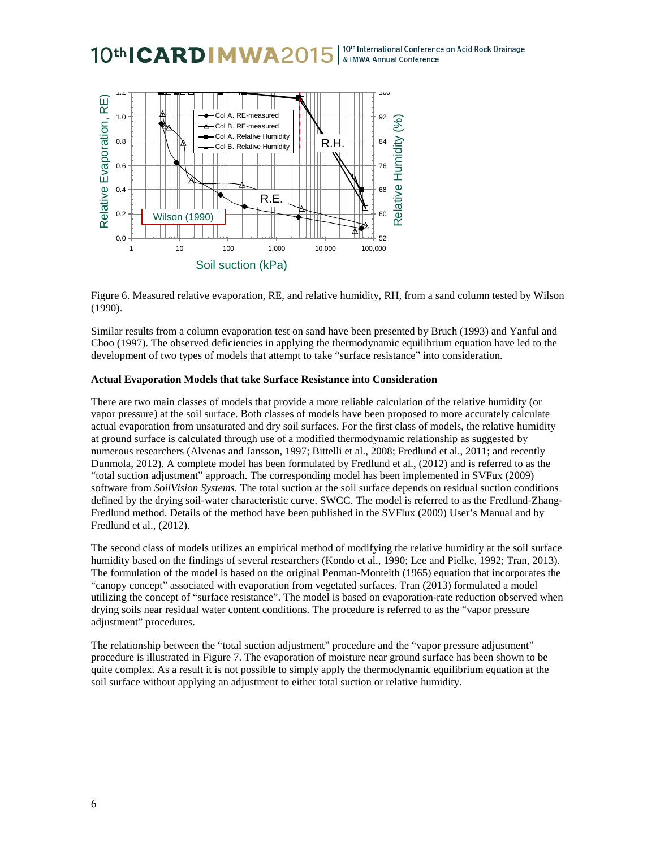#### 10th International Conference on Acid Rock Drainage 10th**ICARDIMWA**20 & IMWA Annual Conference



Figure 6. Measured relative evaporation, RE, and relative humidity, RH, from a sand column tested by Wilson (1990).

Similar results from a column evaporation test on sand have been presented by Bruch (1993) and Yanful and Choo (1997). The observed deficiencies in applying the thermodynamic equilibrium equation have led to the development of two types of models that attempt to take "surface resistance" into consideration.

#### **Actual Evaporation Models that take Surface Resistance into Consideration**

There are two main classes of models that provide a more reliable calculation of the relative humidity (or vapor pressure) at the soil surface. Both classes of models have been proposed to more accurately calculate actual evaporation from unsaturated and dry soil surfaces. For the first class of models, the relative humidity at ground surface is calculated through use of a modified thermodynamic relationship as suggested by numerous researchers (Alvenas and Jansson, 1997; Bittelli et al., 2008; Fredlund et al., 2011; and recently Dunmola, 2012). A complete model has been formulated by Fredlund et al., (2012) and is referred to as the "total suction adjustment" approach. The corresponding model has been implemented in SVFux (2009) software from *SoilVision Systems.* The total suction at the soil surface depends on residual suction conditions defined by the drying soil-water characteristic curve, SWCC. The model is referred to as the Fredlund-Zhang-Fredlund method. Details of the method have been published in the SVFlux (2009) User's Manual and by Fredlund et al., (2012).

The second class of models utilizes an empirical method of modifying the relative humidity at the soil surface humidity based on the findings of several researchers (Kondo et al., 1990; Lee and Pielke, 1992; Tran, 2013). The formulation of the model is based on the original Penman-Monteith (1965) equation that incorporates the "canopy concept" associated with evaporation from vegetated surfaces. Tran (2013) formulated a model utilizing the concept of "surface resistance". The model is based on evaporation-rate reduction observed when drying soils near residual water content conditions. The procedure is referred to as the "vapor pressure adjustment" procedures.

The relationship between the "total suction adjustment" procedure and the "vapor pressure adjustment" procedure is illustrated in Figure 7. The evaporation of moisture near ground surface has been shown to be quite complex. As a result it is not possible to simply apply the thermodynamic equilibrium equation at the soil surface without applying an adjustment to either total suction or relative humidity.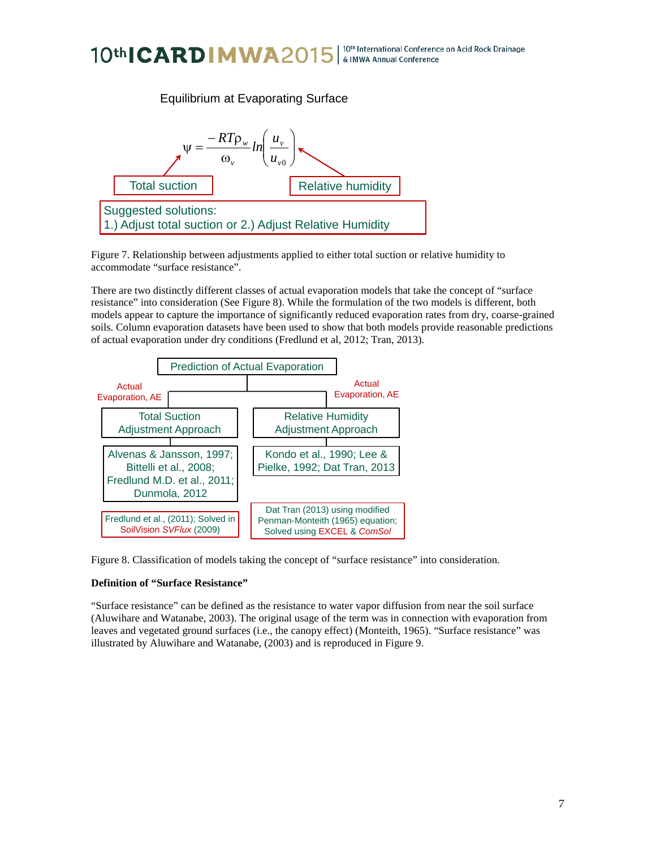#### | 10th International Conference on Acid Rock Drainage 10th**ICARDIMWA**2015 & IMWA Annual Conference



Figure 7. Relationship between adjustments applied to either total suction or relative humidity to accommodate "surface resistance". ŗ

There are two distinctly different classes of actual evaporation models that take the concept of "surface resistance" into consideration (See Figure 8). While the formulation of the two models is different, both models appear to capture the importance of significantly reduced evaporation rates from dry, coarse-grained soils. Column evaporation datasets have been used to show that both models provide reasonable predictions of actual evaporation under dry conditions (Fredlund et al, 2012; Tran, 2013).



Figure 8. Classification of models taking the concept of "surface resistance" into consideration.

### **Definition of "Surface Resistance"**

"Surface resistance" can be defined as the resistance to water vapor diffusion from near the soil surface (Aluwihare and Watanabe, 2003). The original usage of the term was in connection with evaporation from leaves and vegetated ground surfaces (i.e., the canopy effect) (Monteith, 1965). "Surface resistance" was illustrated by Aluwihare and Watanabe, (2003) and is reproduced in Figure 9.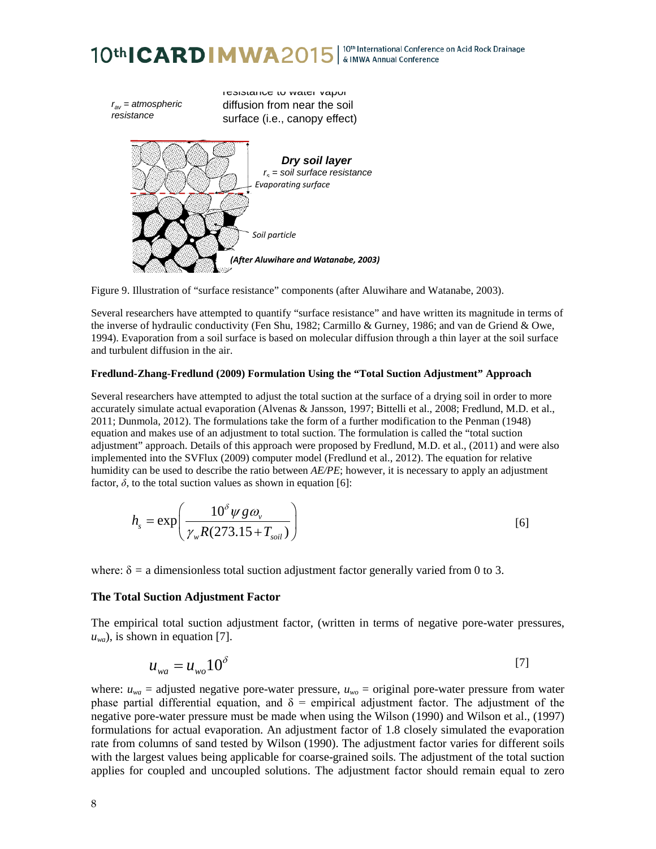





Several researchers have attempted to quantify "surface resistance" and have written its magnitude in terms of the inverse of hydraulic conductivity (Fen Shu, 1982; Carmillo & Gurney, 1986; and van de Griend & Owe, 1994). Evaporation from a soil surface is based on molecular diffusion through a thin layer at the soil surface and turbulent diffusion in the air.

#### **Fredlund-Zhang-Fredlund (2009) Formulation Using the "Total Suction Adjustment" Approach**

Several researchers have attempted to adjust the total suction at the surface of a drying soil in order to more accurately simulate actual evaporation (Alvenas & Jansson, 1997; Bittelli et al., 2008; Fredlund, M.D. et al., 2011; Dunmola, 2012). The formulations take the form of a further modification to the Penman (1948) equation and makes use of an adjustment to total suction. The formulation is called the "total suction adjustment" approach. Details of this approach were proposed by Fredlund, M.D. et al., (2011) and were also implemented into the SVFlux (2009) computer model (Fredlund et al., 2012). The equation for relative humidity can be used to describe the ratio between *AE/PE*; however, it is necessary to apply an adjustment factor,  $\delta$ , to the total suction values as shown in equation [6]:

$$
h_s = \exp\left(\frac{10^{\delta} \psi g \omega_v}{\gamma_w R(273.15 + T_{\text{solid}})}\right)
$$
 [6]

where:  $\delta$  = a dimensionless total suction adjustment factor generally varied from 0 to 3.

#### **The Total Suction Adjustment Factor**

The empirical total suction adjustment factor, (written in terms of negative pore-water pressures,  $u_{wa}$ ), is shown in equation [7].

$$
u_{wa} = u_{wo} 10^{\delta} \tag{7}
$$

where:  $u_{wa}$  = adjusted negative pore-water pressure,  $u_{wo}$  = original pore-water pressure from water phase partial differential equation, and  $\delta$  = empirical adjustment factor. The adjustment of the negative pore-water pressure must be made when using the Wilson (1990) and Wilson et al., (1997) formulations for actual evaporation. An adjustment factor of 1.8 closely simulated the evaporation rate from columns of sand tested by Wilson (1990). The adjustment factor varies for different soils with the largest values being applicable for coarse-grained soils. The adjustment of the total suction applies for coupled and uncoupled solutions. The adjustment factor should remain equal to zero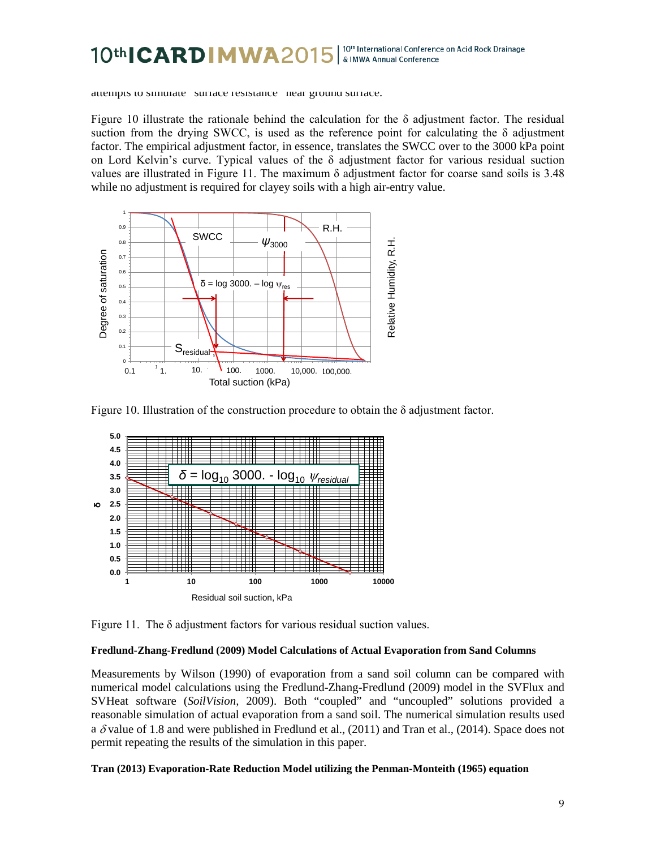#### 10th CARD MWA20 10th International Conference on Acid Rock Drainage & IMWA Annual Conference

attempts to simulate surface resistance near ground surface.

Figure 10 illustrate the rationale behind the calculation for the  $\delta$  adjustment factor. The residual suction from the drying SWCC, is used as the reference point for calculating the  $\delta$  adjustment factor. The empirical adjustment factor, in essence, translates the SWCC over to the 3000 kPa point on Lord Kelvin's curve. Typical values of the  $\delta$  adjustment factor for various residual suction values are illustrated in Figure 11. The maximum  $\delta$  adjustment factor for coarse sand soils is 3.48 while no adjustment is required for clayey soils with a high air-entry value.



Figure 10. Illustration of the construction procedure to obtain the  $\delta$  adjustment factor.



Figure 11. The  $\delta$  adjustment factors for various residual suction values.

### **Fredlund-Zhang-Fredlund (2009) Model Calculations of Actual Evaporation from Sand Columns**

Measurements by Wilson (1990) of evaporation from a sand soil column can be compared with numerical model calculations using the Fredlund-Zhang-Fredlund (2009) model in the SVFlux and SVHeat software (*SoilVision,* 2009). Both "coupled" and "uncoupled" solutions provided a reasonable simulation of actual evaporation from a sand soil. The numerical simulation results used a  $\delta$  value of 1.8 and were published in Fredlund et al., (2011) and Tran et al., (2014). Space does not permit repeating the results of the simulation in this paper.

### **Tran (2013) Evaporation-Rate Reduction Model utilizing the Penman-Monteith (1965) equation**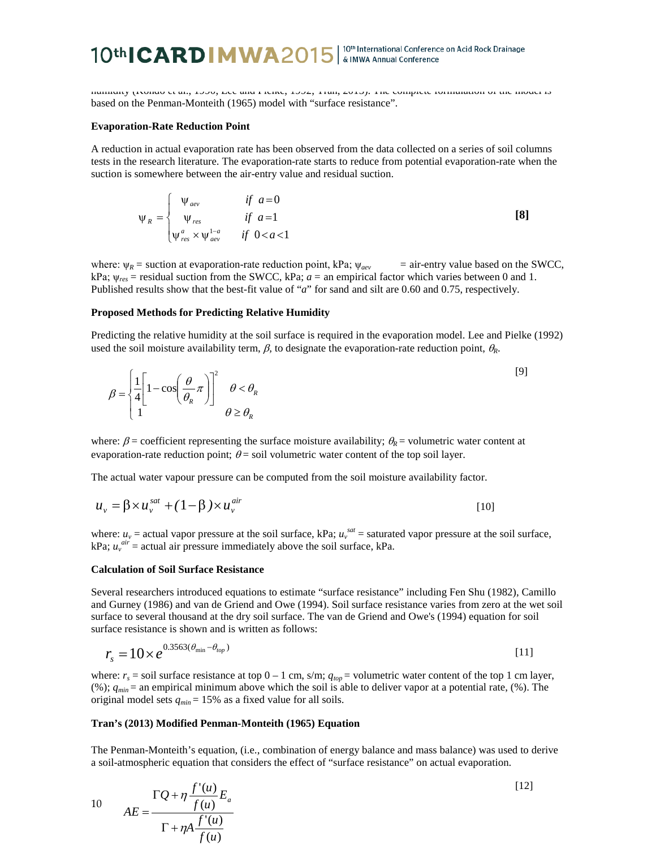# 10th CARD MWA2015 | 10th International Conference on Acid Rock Drainage

humidity (Kondo et al., 1990; Lee and Pielke, 1992; Tran, 2013). The complete formulation of the model is based on the Penman-Monteith (1965) model with "surface resistance".

#### **Evaporation-Rate Reduction Point**

A reduction in actual evaporation rate has been observed from the data collected on a series of soil columns tests in the research literature. The evaporation-rate starts to reduce from potential evaporation-rate when the suction is somewhere between the air-entry value and residual suction.

$$
\Psi_R = \begin{cases}\n\Psi_{\text{dev}} & \text{if } a = 0 \\
\Psi_{\text{res}} & \text{if } a = 1 \\
\Psi_{\text{res}}^a \times \Psi_{\text{dev}}^{1-a} & \text{if } 0 < a < 1\n\end{cases} \tag{8}
$$

where:  $\psi_R$  = suction at evaporation-rate reduction point, kPa;  $\psi_{\alpha}$  = air-entry value based on the SWCC, kPa;  $\psi_{res}$  = residual suction from the SWCC, kPa;  $a$  = an empirical factor which varies between 0 and 1. Published results show that the best-fit value of "*a*" for sand and silt are 0.60 and 0.75, respectively.

#### **Proposed Methods for Predicting Relative Humidity**

Predicting the relative humidity at the soil surface is required in the evaporation model. Lee and Pielke (1992) used the soil moisture availability term,  $\beta$ , to designate the evaporation-rate reduction point,  $\theta_R$ .

$$
\beta = \begin{cases} \frac{1}{4} \left[ 1 - \cos\left(\frac{\theta}{\theta_R} \pi\right) \right]^2 & \theta < \theta_R \\ 1 & \theta \ge \theta_R \end{cases} \tag{9}
$$

where:  $\beta$  = coefficient representing the surface moisture availability;  $\theta$ <sub>*R*</sub> = volumetric water content at evaporation-rate reduction point;  $\theta$  = soil volumetric water content of the top soil layer.

The actual water vapour pressure can be computed from the soil moisture availability factor.

$$
u_{\nu} = \beta \times u_{\nu}^{sat} + (1 - \beta) \times u_{\nu}^{air}
$$

where:  $u_v$  = actual vapor pressure at the soil surface, kPa;  $u_v^{sat}$  = saturated vapor pressure at the soil surface, kPa;  $u_v^{air}$  = actual air pressure immediately above the soil surface, kPa.

#### **Calculation of Soil Surface Resistance**

Several researchers introduced equations to estimate "surface resistance" including Fen Shu (1982), Camillo and Gurney (1986) and van de Griend and Owe (1994). Soil surface resistance varies from zero at the wet soil surface to several thousand at the dry soil surface. The van de Griend and Owe's (1994) equation for soil surface resistance is shown and is written as follows:

$$
r_s = 10 \times e^{0.3563(\theta_{\min} - \theta_{top})}
$$
\n[11]

where:  $r_s$  = soil surface resistance at top  $0 - 1$  cm, s/m;  $q_{top}$  = volumetric water content of the top 1 cm layer, (%); *qmin* = an empirical minimum above which the soil is able to deliver vapor at a potential rate, (%). The original model sets  $q_{min} = 15\%$  as a fixed value for all soils.

#### **Tran's (2013) Modified Penman-Monteith (1965) Equation**

The Penman-Monteith's equation, (i.e., combination of energy balance and mass balance) was used to derive a soil-atmospheric equation that considers the effect of "surface resistance" on actual evaporation.

10 
$$
AE = \frac{\Gamma Q + \eta \frac{f'(u)}{f(u)} E_a}{\Gamma + \eta A \frac{f'(u)}{f(u)}}
$$
 [12]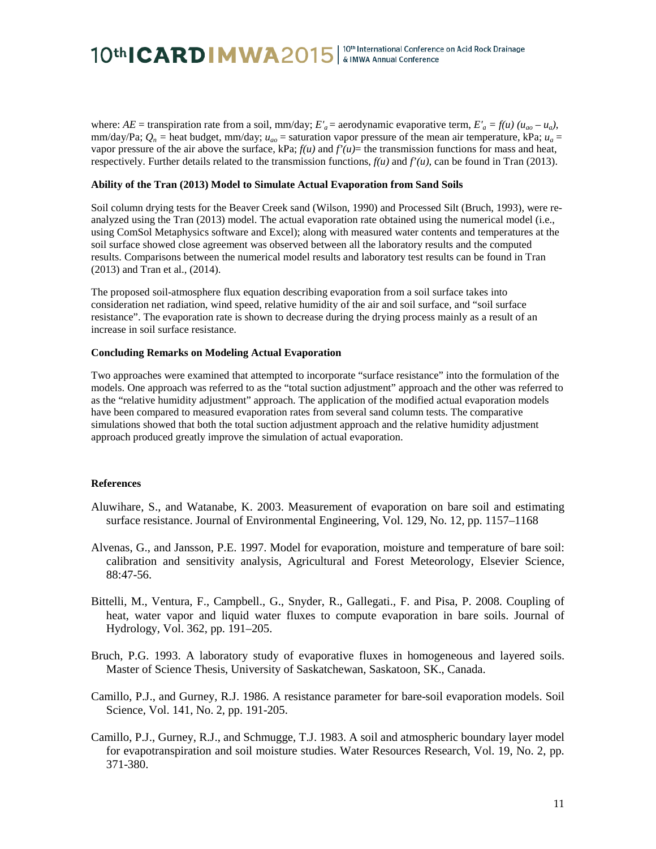where:  $AE =$  transpiration rate from a soil, mm/day;  $E'_a =$  aerodynamic evaporative term,  $E'_a = f(u)(u_{ao} - u_a)$ , mm/day/Pa;  $Q_n$  = heat budget, mm/day;  $u_{ao}$  = saturation vapor pressure of the mean air temperature, kPa;  $u_a$  = vapor pressure of the air above the surface,  $kPa$ ;  $f(u)$  and  $f'(u)$ = the transmission functions for mass and heat, respectively. Further details related to the transmission functions,  $f(u)$  and  $f'(u)$ , can be found in Tran (2013).

#### **Ability of the Tran (2013) Model to Simulate Actual Evaporation from Sand Soils**

Soil column drying tests for the Beaver Creek sand (Wilson, 1990) and Processed Silt (Bruch, 1993), were reanalyzed using the Tran (2013) model. The actual evaporation rate obtained using the numerical model (i.e., using ComSol Metaphysics software and Excel); along with measured water contents and temperatures at the soil surface showed close agreement was observed between all the laboratory results and the computed results. Comparisons between the numerical model results and laboratory test results can be found in Tran (2013) and Tran et al., (2014).

The proposed soil-atmosphere flux equation describing evaporation from a soil surface takes into consideration net radiation, wind speed, relative humidity of the air and soil surface, and "soil surface resistance". The evaporation rate is shown to decrease during the drying process mainly as a result of an increase in soil surface resistance.

#### **Concluding Remarks on Modeling Actual Evaporation**

Two approaches were examined that attempted to incorporate "surface resistance" into the formulation of the models. One approach was referred to as the "total suction adjustment" approach and the other was referred to as the "relative humidity adjustment" approach. The application of the modified actual evaporation models have been compared to measured evaporation rates from several sand column tests. The comparative simulations showed that both the total suction adjustment approach and the relative humidity adjustment approach produced greatly improve the simulation of actual evaporation.

#### **References**

- Aluwihare, S., and Watanabe, K. 2003. Measurement of evaporation on bare soil and estimating surface resistance. Journal of Environmental Engineering, Vol. 129, No. 12, pp. 1157–1168
- Alvenas, G., and Jansson, P.E. 1997. Model for evaporation, moisture and temperature of bare soil: calibration and sensitivity analysis, Agricultural and Forest Meteorology, Elsevier Science, 88:47-56.
- Bittelli, M., Ventura, F., Campbell., G., Snyder, R., Gallegati., F. and Pisa, P. 2008. Coupling of heat, water vapor and liquid water fluxes to compute evaporation in bare soils. Journal of Hydrology, Vol. 362, pp. 191–205.
- Bruch, P.G. 1993. A laboratory study of evaporative fluxes in homogeneous and layered soils. Master of Science Thesis, University of Saskatchewan, Saskatoon, SK., Canada.
- Camillo, P.J., and Gurney, R.J. 1986. A resistance parameter for bare-soil evaporation models. Soil Science, Vol. 141, No. 2, pp. 191-205.
- Camillo, P.J., Gurney, R.J., and Schmugge, T.J. 1983. A soil and atmospheric boundary layer model for evapotranspiration and soil moisture studies. Water Resources Research, Vol. 19, No. 2, pp. 371-380.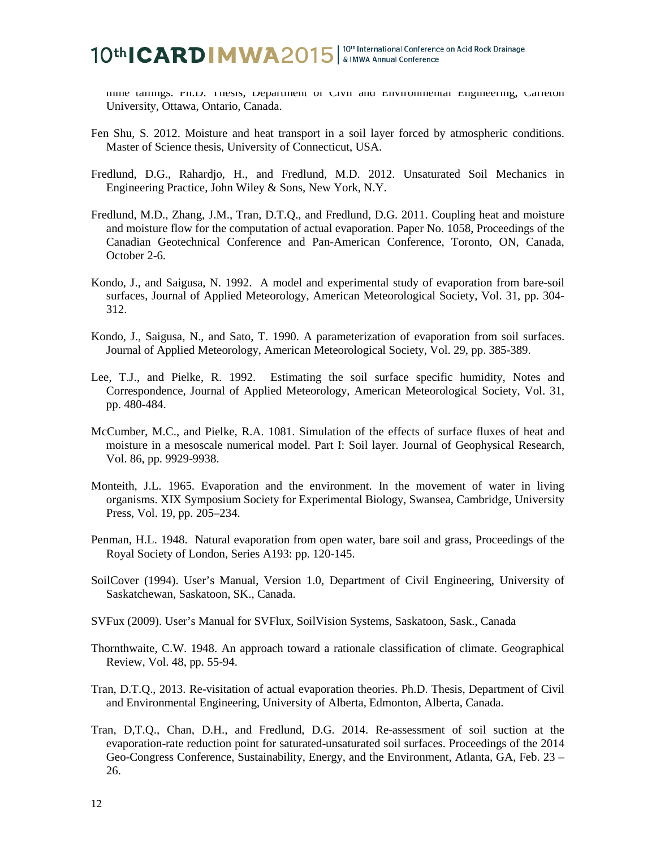# 10th CARD MWA2015 | 10th International Conference on Acid Rock Drainage

mine tailings. Ph.D. Thesis, Department of Civil and Environmental Engineering, Carleton University, Ottawa, Ontario, Canada.

- Fen Shu, S. 2012. Moisture and heat transport in a soil layer forced by atmospheric conditions. Master of Science thesis, University of Connecticut, USA.
- Fredlund, D.G., Rahardjo, H., and Fredlund, M.D. 2012. Unsaturated Soil Mechanics in Engineering Practice, John Wiley & Sons, New York, N.Y.
- Fredlund, M.D., Zhang, J.M., Tran, D.T.Q., and Fredlund, D.G. 2011. Coupling heat and moisture and moisture flow for the computation of actual evaporation. Paper No. 1058, Proceedings of the Canadian Geotechnical Conference and Pan-American Conference, Toronto, ON, Canada, October 2-6.
- Kondo, J., and Saigusa, N. 1992. A model and experimental study of evaporation from bare-soil surfaces, Journal of Applied Meteorology, American Meteorological Society, Vol. 31, pp. 304- 312.
- Kondo, J., Saigusa, N., and Sato, T. 1990. A parameterization of evaporation from soil surfaces. Journal of Applied Meteorology, American Meteorological Society, Vol. 29, pp. 385-389.
- Lee, T.J., and Pielke, R. 1992. Estimating the soil surface specific humidity, Notes and Correspondence, Journal of Applied Meteorology, American Meteorological Society, Vol. 31, pp. 480-484.
- McCumber, M.C., and Pielke, R.A. 1081. Simulation of the effects of surface fluxes of heat and moisture in a mesoscale numerical model. Part I: Soil layer. Journal of Geophysical Research, Vol. 86, pp. 9929-9938.
- Monteith, J.L. 1965. Evaporation and the environment. In the movement of water in living organisms. XIX Symposium Society for Experimental Biology, Swansea, Cambridge, University Press, Vol. 19, pp. 205–234.
- Penman, H.L. 1948. Natural evaporation from open water, bare soil and grass, Proceedings of the Royal Society of London, Series A193: pp. 120-145.
- SoilCover (1994). User's Manual, Version 1.0, Department of Civil Engineering, University of Saskatchewan, Saskatoon, SK., Canada.
- SVFux (2009). User's Manual for SVFlux, SoilVision Systems, Saskatoon, Sask., Canada
- Thornthwaite, C.W. 1948. An approach toward a rationale classification of climate. Geographical Review, Vol. 48, pp. 55-94.
- Tran, D.T.Q., 2013. Re-visitation of actual evaporation theories. Ph.D. Thesis, Department of Civil and Environmental Engineering, University of Alberta, Edmonton, Alberta, Canada.
- Tran, D,T.Q., Chan, D.H., and Fredlund, D.G. 2014. Re-assessment of soil suction at the evaporation-rate reduction point for saturated-unsaturated soil surfaces. Proceedings of the 2014 Geo-Congress Conference, Sustainability, Energy, and the Environment, Atlanta, GA, Feb. 23 – 26.